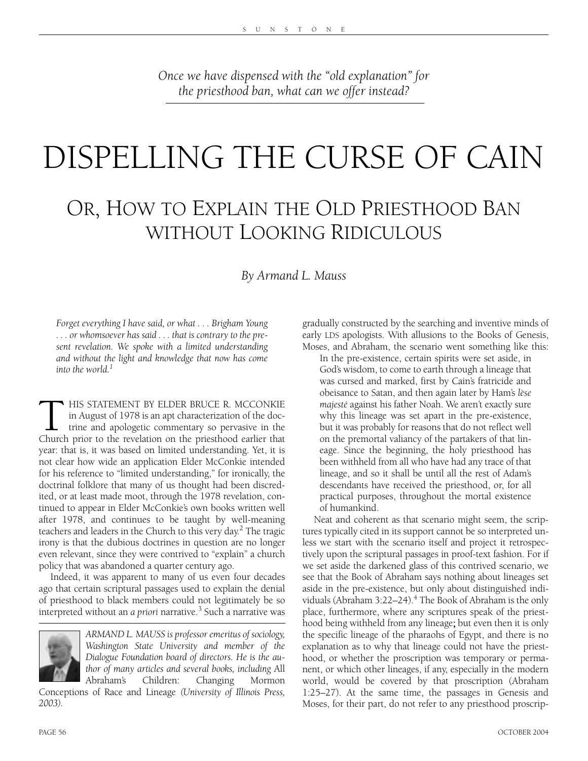*Once we have dispensed with the "old explanation" for the priesthood ban, what can we offer instead?*

# DISPELLING THE CURSE OF CAIN

### OR, HOW TO EXPLAIN THE OLD PRIESTHOOD BAN WITHOUT LOOKING RIDICULOUS

*By Armand L. Mauss*

*Forget everything I have said, or what . . . Brigham Young . . . or whomsoever has said . . . that is contrary to the present revelation. We spoke with a limited understanding and without the light and knowledge that now has come into the world.1*

**HIS STATEMENT BY ELDER BRUCE R. MCCONKIE** in August of 1978 is an apt characterization of the doctrine and apologetic commentary so pervasive in the Church prior to the revelation on the priesthood earlier that year: that is, it was based on limited understanding. Yet, it is not clear how wide an application Elder McConkie intended for his reference to "limited understanding," for ironically, the doctrinal folklore that many of us thought had been discredited, or at least made moot, through the 1978 revelation, continued to appear in Elder McConkie's own books written well after 1978, and continues to be taught by well-meaning teachers and leaders in the Church to this very day.<sup>2</sup> The tragic irony is that the dubious doctrines in question are no longer even relevant, since they were contrived to "explain" a church policy that was abandoned a quarter century ago.

Indeed, it was apparent to many of us even four decades ago that certain scriptural passages used to explain the denial of priesthood to black members could not legitimately be so interpreted without an *a priori* narrative.<sup>3</sup> Such a narrative was



*ARMAND L. MAUSS is professor emeritus of sociology, Washington State University and member of the Dialogue Foundation board of directors. He is the author of many articles and several books, including* All Abraham's Children: Changing Mormon

Conceptions of Race and Lineage *(University of Illinois Press, 2003).* 

gradually constructed by the searching and inventive minds of early LDS apologists. With allusions to the Books of Genesis, Moses, and Abraham, the scenario went something like this:

In the pre-existence, certain spirits were set aside, in God's wisdom, to come to earth through a lineage that was cursed and marked, first by Cain's fratricide and obeisance to Satan, and then again later by Ham's *lèse majesté* against his father Noah. We aren't exactly sure why this lineage was set apart in the pre-existence, but it was probably for reasons that do not reflect well on the premortal valiancy of the partakers of that lineage. Since the beginning, the holy priesthood has been withheld from all who have had any trace of that lineage, and so it shall be until all the rest of Adam's descendants have received the priesthood, or, for all practical purposes, throughout the mortal existence of humankind.

Neat and coherent as that scenario might seem, the scriptures typically cited in its support cannot be so interpreted unless we start with the scenario itself and project it retrospectively upon the scriptural passages in proof-text fashion. For if we set aside the darkened glass of this contrived scenario, we see that the Book of Abraham says nothing about lineages set aside in the pre-existence, but only about distinguished individuals (Abraham 3:22–24).<sup>4</sup> The Book of Abraham is the only place, furthermore, where any scriptures speak of the priesthood being withheld from any lineage; but even then it is only the specific lineage of the pharaohs of Egypt, and there is no explanation as to why that lineage could not have the priesthood, or whether the proscription was temporary or permanent, or which other lineages, if any, especially in the modern world, would be covered by that proscription (Abraham 1:25–27). At the same time, the passages in Genesis and Moses, for their part, do not refer to any priesthood proscrip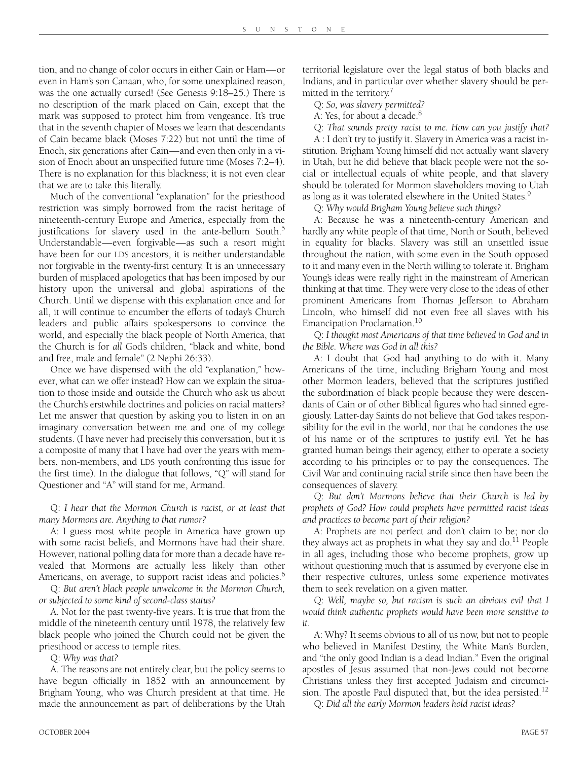tion, and no change of color occurs in either Cain or Ham—or even in Ham's son Canaan, who, for some unexplained reason, was the one actually cursed! (See Genesis 9:18–25.) There is no description of the mark placed on Cain, except that the mark was supposed to protect him from vengeance. It's true that in the seventh chapter of Moses we learn that descendants of Cain became black (Moses 7:22) but not until the time of Enoch, six generations after Cain—and even then only in a vision of Enoch about an unspecified future time (Moses 7:2–4). There is no explanation for this blackness; it is not even clear that we are to take this literally.

Much of the conventional "explanation" for the priesthood restriction was simply borrowed from the racist heritage of nineteenth-century Europe and America, especially from the justifications for slavery used in the ante-bellum South.<sup>5</sup> Understandable—even forgivable—as such a resort might have been for our LDS ancestors, it is neither understandable nor forgivable in the twenty-first century. It is an unnecessary burden of misplaced apologetics that has been imposed by our history upon the universal and global aspirations of the Church. Until we dispense with this explanation once and for all, it will continue to encumber the efforts of today's Church leaders and public affairs spokespersons to convince the world, and especially the black people of North America, that the Church is for *all* God's children, "black and white, bond and free, male and female" (2 Nephi 26:33).

Once we have dispensed with the old "explanation," however, what can we offer instead? How can we explain the situation to those inside and outside the Church who ask us about the Church's erstwhile doctrines and policies on racial matters? Let me answer that question by asking you to listen in on an imaginary conversation between me and one of my college students. (I have never had precisely this conversation, but it is a composite of many that I have had over the years with members, non-members, and LDS youth confronting this issue for the first time). In the dialogue that follows, "Q" will stand for Questioner and "A" will stand for me, Armand.

Q: *I hear that the Mormon Church is racist, or at least that many Mormons are. Anything to that rumor?*

A: I guess most white people in America have grown up with some racist beliefs, and Mormons have had their share. However, national polling data for more than a decade have revealed that Mormons are actually less likely than other Americans, on average, to support racist ideas and policies.<sup>6</sup>

Q: *But aren't black people unwelcome in the Mormon Church, or subjected to some kind of second-class status?*

A. Not for the past twenty-five years. It is true that from the middle of the nineteenth century until 1978, the relatively few black people who joined the Church could not be given the priesthood or access to temple rites.

Q: *Why was that?*

A. The reasons are not entirely clear, but the policy seems to have begun officially in 1852 with an announcement by Brigham Young, who was Church president at that time. He made the announcement as part of deliberations by the Utah territorial legislature over the legal status of both blacks and Indians, and in particular over whether slavery should be permitted in the territory.<sup>7</sup>

Q: *So, was slavery permitted?*

A: Yes, for about a decade.<sup>8</sup>

Q: *That sounds pretty racist to me. How can you justify that?* 

A : I don't try to justify it. Slavery in America was a racist institution. Brigham Young himself did not actually want slavery in Utah, but he did believe that black people were not the social or intellectual equals of white people, and that slavery should be tolerated for Mormon slaveholders moving to Utah as long as it was tolerated elsewhere in the United States.<sup>9</sup>

Q: *Why would Brigham Young believe such things?*

A: Because he was a nineteenth-century American and hardly any white people of that time, North or South, believed in equality for blacks. Slavery was still an unsettled issue throughout the nation, with some even in the South opposed to it and many even in the North willing to tolerate it. Brigham Young's ideas were really right in the mainstream of American thinking at that time. They were very close to the ideas of other prominent Americans from Thomas Jefferson to Abraham Lincoln, who himself did not even free all slaves with his Emancipation Proclamation.<sup>10</sup>

Q: *I thought most Americans of that time believed in God and in the Bible. Where was God in all this?*

A: I doubt that God had anything to do with it. Many Americans of the time, including Brigham Young and most other Mormon leaders, believed that the scriptures justified the subordination of black people because they were descendants of Cain or of other Biblical figures who had sinned egregiously. Latter-day Saints do not believe that God takes responsibility for the evil in the world, nor that he condones the use of his name or of the scriptures to justify evil. Yet he has granted human beings their agency, either to operate a society according to his principles or to pay the consequences. The Civil War and continuing racial strife since then have been the consequences of slavery.

Q: *But don't Mormons believe that their Church is led by prophets of God? How could prophets have permitted racist ideas and practices to become part of their religion?*

A: Prophets are not perfect and don't claim to be; nor do they always act as prophets in what they say and do.<sup>11</sup> People in all ages, including those who become prophets, grow up without questioning much that is assumed by everyone else in their respective cultures, unless some experience motivates them to seek revelation on a given matter.

Q: *Well, maybe so, but racism is such an obvious evil that I would think authentic prophets would have been more sensitive to it*.

A: Why? It seems obvious to all of us now, but not to people who believed in Manifest Destiny, the White Man's Burden, and "the only good Indian is a dead Indian." Even the original apostles of Jesus assumed that non-Jews could not become Christians unless they first accepted Judaism and circumcision. The apostle Paul disputed that, but the idea persisted.<sup>12</sup>

Q: *Did all the early Mormon leaders hold racist ideas?*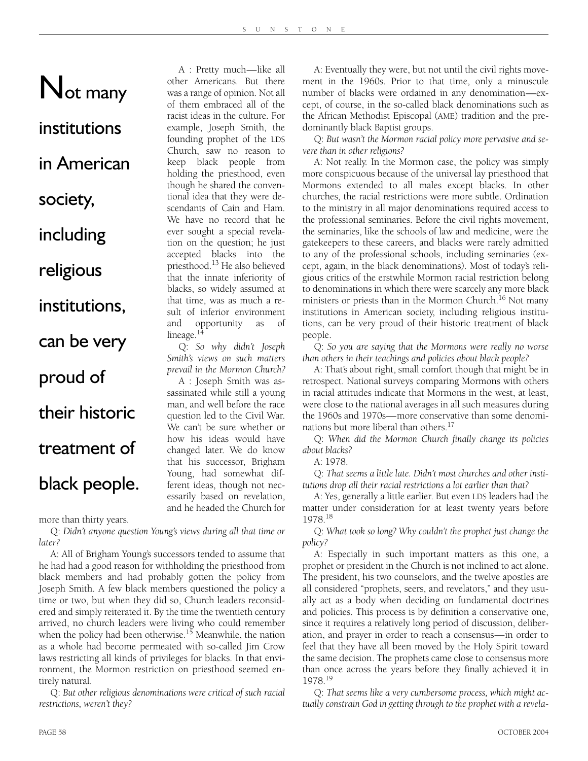A : Pretty much—like all other Americans. But there was a range of opinion. Not all of them embraced all of the racist ideas in the culture. For example, Joseph Smith, the founding prophet of the LDS Church, saw no reason to keep black people from holding the priesthood, even though he shared the conventional idea that they were descendants of Cain and Ham. We have no record that he ever sought a special revelation on the question; he just accepted blacks into the priesthood.13 He also believed that the innate inferiority of blacks, so widely assumed at that time, was as much a result of inferior environment and opportunity as of

## Not many

institutions

#### in American

society,

### including

religious

#### institutions,

can be very

proud of

## their historic treatment of

#### black people.

more than thirty years.

Q: *Didn't anyone question Young's views during all that time or later?*

lineage. $<sup>14</sup>$ </sup>

Q: *So why didn't Joseph Smith's views on such matters prevail in the Mormon Church?*  A : Joseph Smith was assassinated while still a young man, and well before the race question led to the Civil War. We can't be sure whether or how his ideas would have changed later. We do know that his successor, Brigham Young, had somewhat different ideas, though not necessarily based on revelation, and he headed the Church for

A: All of Brigham Young's successors tended to assume that he had had a good reason for withholding the priesthood from black members and had probably gotten the policy from Joseph Smith. A few black members questioned the policy a time or two, but when they did so, Church leaders reconsidered and simply reiterated it. By the time the twentieth century arrived, no church leaders were living who could remember when the policy had been otherwise.<sup>15</sup> Meanwhile, the nation as a whole had become permeated with so-called Jim Crow laws restricting all kinds of privileges for blacks. In that environment, the Mormon restriction on priesthood seemed entirely natural.

Q: *But other religious denominations were critical of such racial restrictions, weren't they?*

A: Eventually they were, but not until the civil rights movement in the 1960s. Prior to that time, only a minuscule number of blacks were ordained in any denomination—except, of course, in the so-called black denominations such as the African Methodist Episcopal (AME) tradition and the predominantly black Baptist groups.

Q: *But wasn't the Mormon racial policy more pervasive and severe than in other religions?*

A: Not really. In the Mormon case, the policy was simply more conspicuous because of the universal lay priesthood that Mormons extended to all males except blacks. In other churches, the racial restrictions were more subtle. Ordination to the ministry in all major denominations required access to the professional seminaries. Before the civil rights movement, the seminaries, like the schools of law and medicine, were the gatekeepers to these careers, and blacks were rarely admitted to any of the professional schools, including seminaries (except, again, in the black denominations). Most of today's religious critics of the erstwhile Mormon racial restriction belong to denominations in which there were scarcely any more black ministers or priests than in the Mormon Church.<sup>16</sup> Not many institutions in American society, including religious institutions, can be very proud of their historic treatment of black people.

Q: *So you are saying that the Mormons were really no worse than others in their teachings and policies about black people?*

A: That's about right, small comfort though that might be in retrospect. National surveys comparing Mormons with others in racial attitudes indicate that Mormons in the west, at least, were close to the national averages in all such measures during the 1960s and 1970s—more conservative than some denominations but more liberal than others.<sup>17</sup>

Q: *When did the Mormon Church finally change its policies about blacks?*

A: 1978.

Q: *That seems a little late. Didn't most churches and other institutions drop all their racial restrictions a lot earlier than that?*

A: Yes, generally a little earlier. But even LDS leaders had the matter under consideration for at least twenty years before 1978.18

Q: *What took so long? Why couldn't the prophet just change the policy?*

A: Especially in such important matters as this one, a prophet or president in the Church is not inclined to act alone. The president, his two counselors, and the twelve apostles are all considered "prophets, seers, and revelators," and they usually act as a body when deciding on fundamental doctrines and policies. This process is by definition a conservative one, since it requires a relatively long period of discussion, deliberation, and prayer in order to reach a consensus—in order to feel that they have all been moved by the Holy Spirit toward the same decision. The prophets came close to consensus more than once across the years before they finally achieved it in 1978.19

Q: *That seems like a very cumbersome process, which might actually constrain God in getting through to the prophet with a revela-*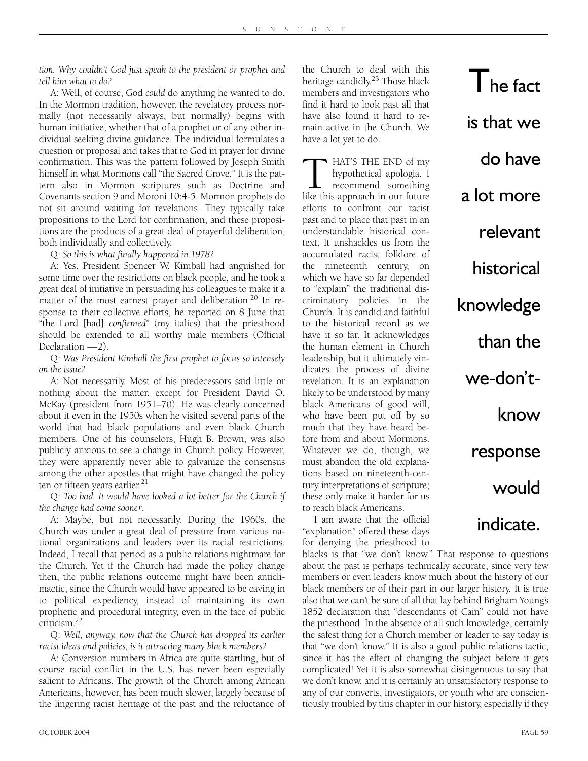*tion. Why couldn't God just speak to the president or prophet and tell him what to do?*

A: Well, of course, God *could* do anything he wanted to do. In the Mormon tradition, however, the revelatory process normally (not necessarily always, but normally) begins with human initiative, whether that of a prophet or of any other individual seeking divine guidance. The individual formulates a question or proposal and takes that to God in prayer for divine confirmation. This was the pattern followed by Joseph Smith himself in what Mormons call "the Sacred Grove." It is the pattern also in Mormon scriptures such as Doctrine and Covenants section 9 and Moroni 10:4-5. Mormon prophets do not sit around waiting for revelations. They typically take propositions to the Lord for confirmation, and these propositions are the products of a great deal of prayerful deliberation, both individually and collectively.

Q: *So this is what finally happened in 1978?*

A: Yes. President Spencer W. Kimball had anguished for some time over the restrictions on black people, and he took a great deal of initiative in persuading his colleagues to make it a matter of the most earnest prayer and deliberation.<sup>20</sup> In response to their collective efforts, he reported on 8 June that "the Lord [had] *confirmed*" (my italics) that the priesthood should be extended to all worthy male members (Official Declaration —2).

Q: *Was President Kimball the first prophet to focus so intensely on the issue?*

A: Not necessarily. Most of his predecessors said little or nothing about the matter, except for President David O. McKay (president from 1951–70). He was clearly concerned about it even in the 1950s when he visited several parts of the world that had black populations and even black Church members. One of his counselors, Hugh B. Brown, was also publicly anxious to see a change in Church policy. However, they were apparently never able to galvanize the consensus among the other apostles that might have changed the policy ten or fifteen years earlier.<sup>21</sup>

Q: *Too bad. It would have looked a lot better for the Church if the change had come sooner*.

A: Maybe, but not necessarily. During the 1960s, the Church was under a great deal of pressure from various national organizations and leaders over its racial restrictions. Indeed, I recall that period as a public relations nightmare for the Church. Yet if the Church had made the policy change then, the public relations outcome might have been anticlimactic, since the Church would have appeared to be caving in to political expediency, instead of maintaining its own prophetic and procedural integrity, even in the face of public criticism.22

Q: *Well, anyway, now that the Church has dropped its earlier racist ideas and policies, is it attracting many black members?*

A: Conversion numbers in Africa are quite startling, but of course racial conflict in the U.S. has never been especially salient to Africans. The growth of the Church among African Americans, however, has been much slower, largely because of the lingering racist heritage of the past and the reluctance of the Church to deal with this heritage candidly.<sup>23</sup> Those black members and investigators who find it hard to look past all that have also found it hard to remain active in the Church. We have a lot yet to do.

 $\Gamma$ he fact

is that we

do have

relevant

historical

knowledge

than the

we-donít-

response

would

indicate.

know

a lot more

**THE END of my hypothetical apologia.** I recommend something like this approach in our future hypothetical apologia. I recommend something efforts to confront our racist past and to place that past in an understandable historical context. It unshackles us from the accumulated racist folklore of the nineteenth century, on which we have so far depended to "explain" the traditional discriminatory policies in the Church. It is candid and faithful to the historical record as we have it so far. It acknowledges the human element in Church leadership, but it ultimately vindicates the process of divine revelation. It is an explanation likely to be understood by many black Americans of good will, who have been put off by so much that they have heard before from and about Mormons. Whatever we do, though, we must abandon the old explanations based on nineteenth-century interpretations of scripture; these only make it harder for us to reach black Americans.

I am aware that the official "explanation" offered these days for denying the priesthood to

blacks is that "we don't know." That response to questions about the past is perhaps technically accurate, since very few members or even leaders know much about the history of our black members or of their part in our larger history. It is true also that we can't be sure of all that lay behind Brigham Young's 1852 declaration that "descendants of Cain" could not have the priesthood. In the absence of all such knowledge, certainly the safest thing for a Church member or leader to say today is that "we don't know." It is also a good public relations tactic, since it has the effect of changing the subject before it gets complicated! Yet it is also somewhat disingenuous to say that we don't know, and it is certainly an unsatisfactory response to any of our converts, investigators, or youth who are conscientiously troubled by this chapter in our history, especially if they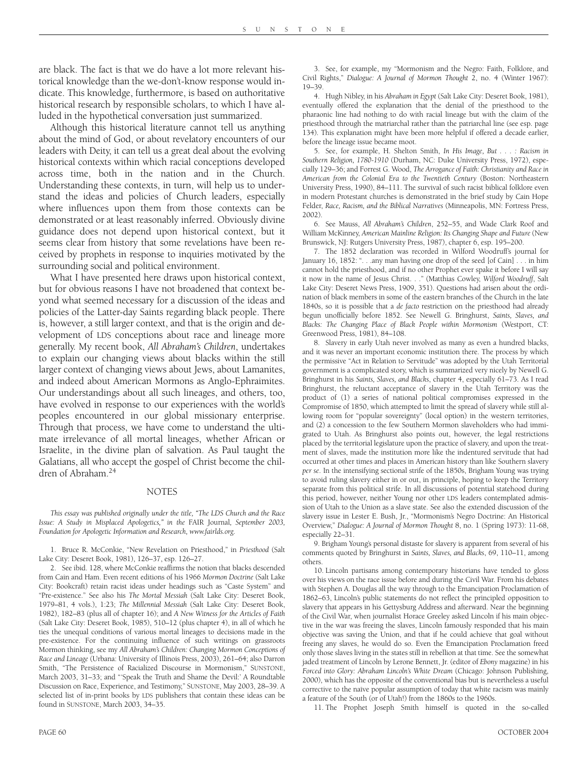are black. The fact is that we do have a lot more relevant historical knowledge than the we-don't-know response would indicate. This knowledge, furthermore, is based on authoritative historical research by responsible scholars, to which I have alluded in the hypothetical conversation just summarized.

Although this historical literature cannot tell us anything about the mind of God, or about revelatory encounters of our leaders with Deity, it can tell us a great deal about the evolving historical contexts within which racial conceptions developed across time, both in the nation and in the Church. Understanding these contexts, in turn, will help us to understand the ideas and policies of Church leaders, especially where influences upon them from those contexts can be demonstrated or at least reasonably inferred. Obviously divine guidance does not depend upon historical context, but it seems clear from history that some revelations have been received by prophets in response to inquiries motivated by the surrounding social and political environment.

What I have presented here draws upon historical context, but for obvious reasons I have not broadened that context beyond what seemed necessary for a discussion of the ideas and policies of the Latter-day Saints regarding black people. There is, however, a still larger context, and that is the origin and development of LDS conceptions about race and lineage more generally. My recent book, *All Abraham's Children*, undertakes to explain our changing views about blacks within the still larger context of changing views about Jews, about Lamanites, and indeed about American Mormons as Anglo-Ephraimites. Our understandings about all such lineages, and others, too, have evolved in response to our experiences with the world's peoples encountered in our global missionary enterprise. Through that process, we have come to understand the ultimate irrelevance of all mortal lineages, whether African or Israelite, in the divine plan of salvation. As Paul taught the Galatians, all who accept the gospel of Christ become the children of Abraham.24

#### NOTES

*This essay was published originally under the title, "The LDS Church and the Race Issue: A Study in Misplaced Apologetics," in the* FAIR Journal*, September 2003, Foundation for Apologetic Information and Research, www.fairlds.org.*

1. Bruce R. McConkie, "New Revelation on Priesthood," in *Priesthood* (Salt Lake City: Deseret Book, 1981), 126–37, esp. 126–27.

2. See ibid. 128, where McConkie reaffirms the notion that blacks descended from Cain and Ham. Even recent editions of his 1966 *Mormon Doctrine* (Salt Lake City: Bookcraft) retain racist ideas under headings such as "Caste System" and "Pre-existence." See also his *The Mortal Messiah* (Salt Lake City: Deseret Book, 1979–81, 4 vols.), 1:23; *The Millennial Messiah* (Salt Lake City: Deseret Book, 1982), 182–83 (plus all of chapter 16); and *A New Witness for the Articles of Faith* (Salt Lake City: Deseret Book, 1985), 510–12 (plus chapter 4), in all of which he ties the unequal conditions of various mortal lineages to decisions made in the pre-existence. For the continuing influence of such writings on grassroots Mormon thinking, see my *All Abraham's Children: Changing Mormon Conceptions of Race and Lineage* (Urbana: University of Illinois Press, 2003), 261–64; also Darron Smith, "The Persistence of Racialized Discourse in Mormonism," SUNSTONE, March 2003, 31–33; and "'Speak the Truth and Shame the Devil:' A Roundtable Discussion on Race, Experience, and Testimony," SUNSTONE, May 2003, 28–39. A selected list of in-print books by LDS publishers that contain these ideas can be found in SUNSTONE, March 2003, 34–35.

3. See, for example, my "Mormonism and the Negro: Faith, Folklore, and Civil Rights," *Dialogue: A Journal of Mormon Thought* 2, no. 4 (Winter 1967): 19–39.

4. Hugh Nibley, in his *Abraham in Egypt* (Salt Lake City: Deseret Book, 1981), eventually offered the explanation that the denial of the priesthood to the pharaonic line had nothing to do with racial lineage but with the claim of the priesthood through the matriarchal rather than the patriarchal line (see esp. page 134). This explanation might have been more helpful if offered a decade earlier, before the lineage issue became moot.

5. See, for example, H. Shelton Smith, *In His Image, But . . . : Racism in Southern Religion, 1780-1910* (Durham, NC: Duke University Press, 1972), especially 129–36; and Forrest G. Wood, *The Arrogance of Faith: Christianity and Race in American from the Colonial Era to the Twentieth Century* (Boston: Northeastern University Press, 1990), 84–111. The survival of such racist biblical folklore even in modern Protestant churches is demonstrated in the brief study by Cain Hope Felder, *Race, Racism, and the Biblical Narratives* (Minneapolis, MN: Fortress Press, 2002).

6. See Mauss, *All Abraham's Children*, 252–55, and Wade Clark Roof and William McKinney, *American Mainline Religion: Its Changing Shape and Future* (New Brunswick, NJ: Rutgers University Press, 1987), chapter 6, esp. 195–200.

7. The 1852 declaration was recorded in Wilford Woodruff's journal for January 16, 1852: ". . .any man having one drop of the seed [of Cain] . . . in him cannot hold the priesthood, and if no other Prophet ever spake it before I will say it now in the name of Jesus Christ. . ." (Matthias Cowley, *Wilford Woodruff*, Salt Lake City: Deseret News Press, 1909, 351). Questions had arisen about the ordination of black members in some of the eastern branches of the Church in the late 1840s, so it is possible that a *de facto* restriction on the priesthood had already begun unofficially before 1852. See Newell G. Bringhurst, *Saints, Slaves, and Blacks: The Changing Place of Black People within Mormonism* (Westport, CT: Greenwood Press, 1981), 84–108.

8. Slavery in early Utah never involved as many as even a hundred blacks, and it was never an important economic institution there. The process by which the permissive "Act in Relation to Servitude" was adopted by the Utah Territorial government is a complicated story, which is summarized very nicely by Newell G. Bringhurst in his *Saints, Slaves, and Blacks*, chapter 4, especially 61–73. As I read Bringhurst, the reluctant acceptance of slavery in the Utah Territory was the product of (1) a series of national political compromises expressed in the Compromise of 1850, which attempted to limit the spread of slavery while still allowing room for "popular sovereignty" (local option) in the western territories, and (2) a concession to the few Southern Mormon slaveholders who had immigrated to Utah. As Bringhurst also points out, however, the legal restrictions placed by the territorial legislature upon the practice of slavery, and upon the treatment of slaves, made the institution more like the indentured servitude that had occurred at other times and places in American history than like Southern slavery *per se*. In the intensifying sectional strife of the 1850s, Brigham Young was trying to avoid ruling slavery either in or out, in principle, hoping to keep the Territory separate from this political strife. In all discussions of potential statehood during this period, however, neither Young nor other LDS leaders contemplated admission of Utah to the Union as a slave state. See also the extended discussion of the slavery issue in Lester E. Bush, Jr., "Mormonism's Negro Doctrine: An Historical Overview," *Dialogue: A Journal of Mormon Thought* 8, no. 1 (Spring 1973): 11-68, especially 22–31.

9. Brigham Young's personal distaste for slavery is apparent from several of his comments quoted by Bringhurst in *Saints, Slaves, and Blacks*, 69, 110–11, among others.

10. Lincoln partisans among contemporary historians have tended to gloss over his views on the race issue before and during the Civil War. From his debates with Stephen A. Douglas all the way through to the Emancipation Proclamation of 1862–63, Lincoln's public statements do not reflect the principled opposition to slavery that appears in his Gettysburg Address and afterward. Near the beginning of the Civil War, when journalist Horace Greeley asked Lincoln if his main objective in the war was freeing the slaves, Lincoln famously responded that his main objective was saving the Union, and that if he could achieve that goal without freeing any slaves, he would do so. Even the Emancipation Proclamation freed only those slaves living in the states still in rebellion at that time. See the somewhat jaded treatment of Lincoln by Lerone Bennett, Jr. (editor of *Ebony* magazine) in his *Forced into Glory: Abraham Lincoln's White Dream* (Chicago: Johnson Publishing, 2000), which has the opposite of the conventional bias but is nevertheless a useful corrective to the naïve popular assumption of today that white racism was mainly a feature of the South (or of Utah!) from the 1860s to the 1960s.

11. The Prophet Joseph Smith himself is quoted in the so-called